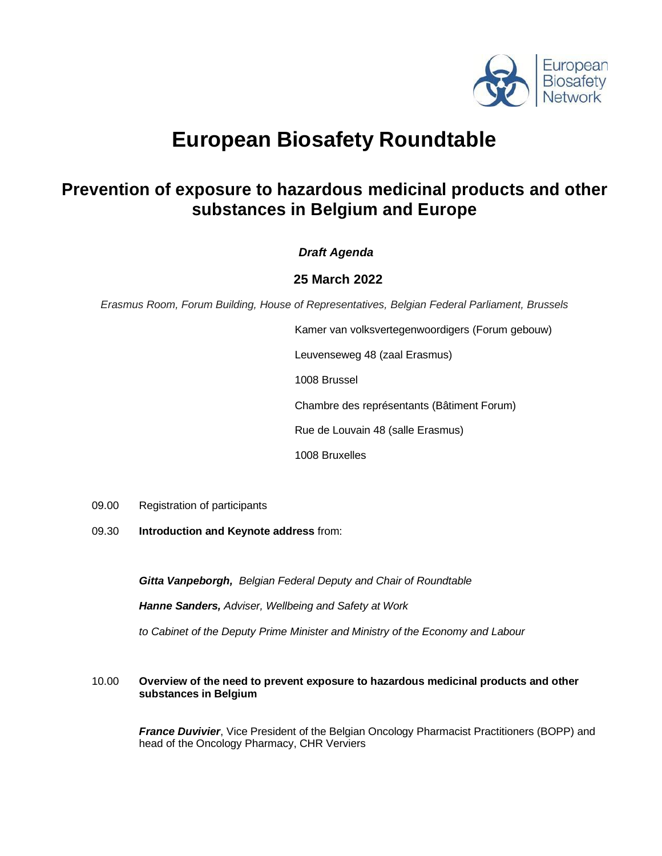

# **European Biosafety Roundtable**

## **Prevention of exposure to hazardous medicinal products and other substances in Belgium and Europe**

### *Draft Agenda*

### **25 March 2022**

*Erasmus Room, Forum Building, House of Representatives, Belgian Federal Parliament, Brussels*

Kamer van volksvertegenwoordigers (Forum gebouw) Leuvenseweg 48 (zaal Erasmus) 1008 Brussel Chambre des représentants (Bâtiment Forum) Rue de Louvain 48 (salle Erasmus)

1008 Bruxelles

- 09.00 Registration of participants
- 09.30 **Introduction and Keynote address** from:

*Gitta Vanpeborgh, Belgian Federal Deputy and Chair of Roundtable*

*Hanne Sanders, Adviser, Wellbeing and Safety at Work* 

*to Cabinet of the Deputy Prime Minister and Ministry of the Economy and Labour*

#### 10.00 **Overview of the need to prevent exposure to hazardous medicinal products and other substances in Belgium**

*France Duvivier*, Vice President of the Belgian Oncology Pharmacist Practitioners (BOPP) and head of the Oncology Pharmacy, CHR Verviers